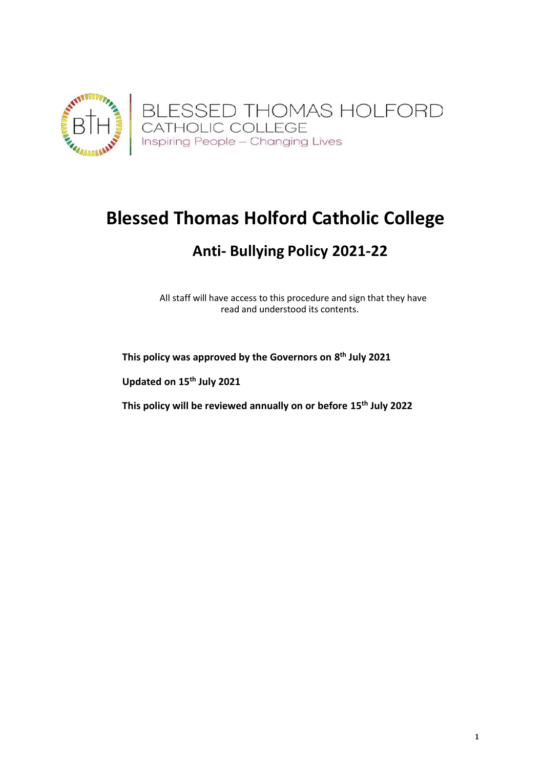

# **Blessed Thomas Holford Catholic College**

## **Anti- Bullying Policy 2021-22**

All staff will have access to this procedure and sign that they have read and understood its contents.

**This policy was approved by the Governors on 8 th July 2021**

**Updated on 15th July 2021**

**This policy will be reviewed annually on or before 15th July 2022**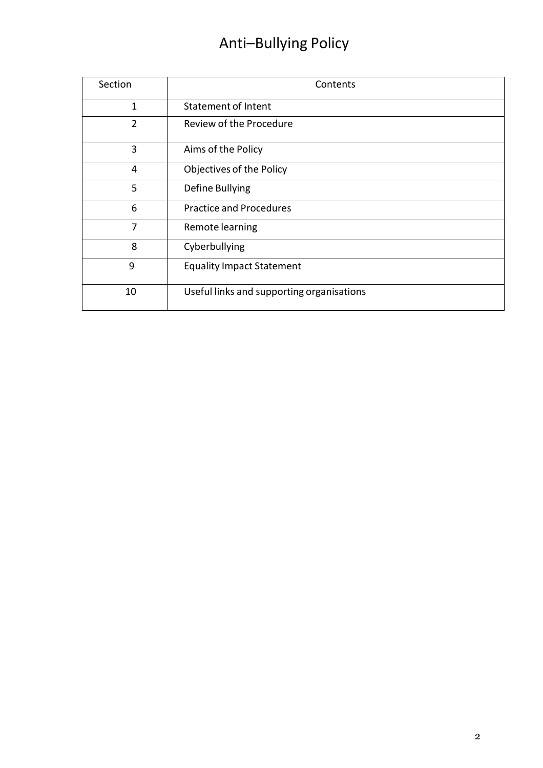# Anti–Bullying Policy

| Section        | Contents                                  |
|----------------|-------------------------------------------|
| 1              | <b>Statement of Intent</b>                |
| 2              | Review of the Procedure                   |
| 3              | Aims of the Policy                        |
| 4              | Objectives of the Policy                  |
| 5              | Define Bullying                           |
| 6              | <b>Practice and Procedures</b>            |
| $\overline{7}$ | Remote learning                           |
| 8              | Cyberbullying                             |
| 9              | <b>Equality Impact Statement</b>          |
| 10             | Useful links and supporting organisations |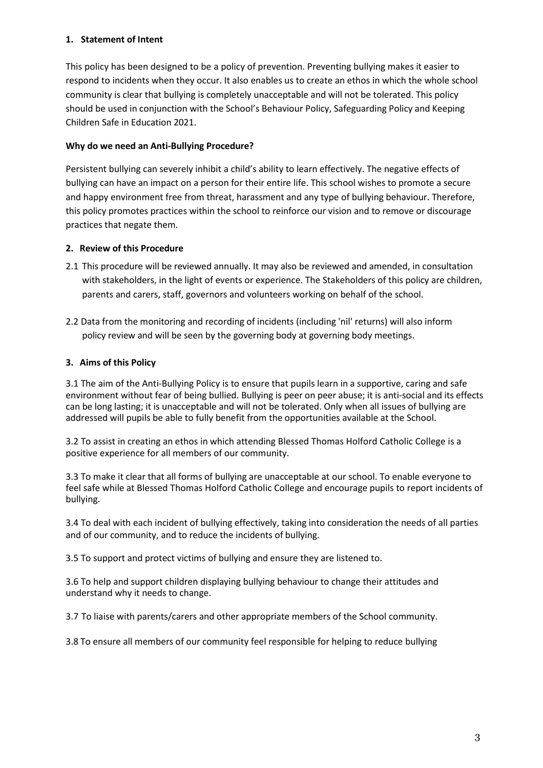#### **1. Statement of Intent**

This policy has been designed to be a policy of prevention. Preventing bullying makes it easier to respond to incidents when they occur. It also enables us to create an ethos in which the whole school community is clear that bullying is completely unacceptable and will not be tolerated. This policy should be used in conjunction with the School's Behaviour Policy, Safeguarding Policy and Keeping Children Safe in Education 2021.

## **Why do we need an Anti-Bullying Procedure?**

Persistent bullying can severely inhibit a child's ability to learn effectively. The negative effects of bullying can have an impact on a person for their entire life. This school wishes to promote a secure and happy environment free from threat, harassment and any type of bullying behaviour. Therefore, this policy promotes practices within the school to reinforce our vision and to remove or discourage practices that negate them.

## **2. Review of this Procedure**

- 2.1 This procedure will be reviewed annually. It may also be reviewed and amended, in consultation with stakeholders, in the light of events or experience. The Stakeholders of this policy are children, parents and carers, staff, governors and volunteers working on behalf of the school.
- 2.2 Data from the monitoring and recording of incidents (including 'nil' returns) will also inform policy review and will be seen by the governing body at governing body meetings.

## **3. Aims of this Policy**

3.1 The aim of the Anti-Bullying Policy is to ensure that pupils learn in a supportive, caring and safe environment without fear of being bullied. Bullying is peer on peer abuse; it is anti-social and its effects can be long lasting; it is unacceptable and will not be tolerated. Only when all issues of bullying are addressed will pupils be able to fully benefit from the opportunities available at the School.

3.2 To assist in creating an ethos in which attending Blessed Thomas Holford Catholic College is a positive experience for all members of our community.

3.3 To make it clear that all forms of bullying are unacceptable at our school. To enable everyone to feel safe while at Blessed Thomas Holford Catholic College and encourage pupils to report incidents of bullying.

3.4 To deal with each incident of bullying effectively, taking into consideration the needs of all parties and of our community, and to reduce the incidents of bullying.

3.5 To support and protect victims of bullying and ensure they are listened to.

3.6 To help and support children displaying bullying behaviour to change their attitudes and understand why it needs to change.

3.7 To liaise with parents/carers and other appropriate members of the School community.

3.8 To ensure all members of our community feel responsible for helping to reduce bullying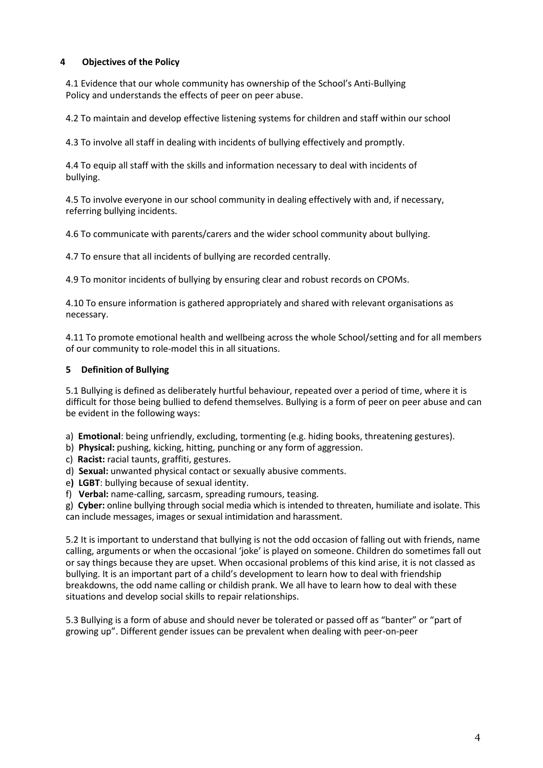#### **4 Objectives of the Policy**

4.1 Evidence that our whole community has ownership of the School's Anti-Bullying Policy and understands the effects of peer on peer abuse.

4.2 To maintain and develop effective listening systems for children and staff within our school

4.3 To involve all staff in dealing with incidents of bullying effectively and promptly.

4.4 To equip all staff with the skills and information necessary to deal with incidents of bullying.

4.5 To involve everyone in our school community in dealing effectively with and, if necessary, referring bullying incidents.

4.6 To communicate with parents/carers and the wider school community about bullying.

4.7 To ensure that all incidents of bullying are recorded centrally.

4.9 To monitor incidents of bullying by ensuring clear and robust records on CPOMs.

4.10 To ensure information is gathered appropriately and shared with relevant organisations as necessary.

4.11 To promote emotional health and wellbeing across the whole School/setting and for all members of our community to role-model this in all situations.

#### **5 Definition of Bullying**

5.1 Bullying is defined as deliberately hurtful behaviour, repeated over a period of time, where it is difficult for those being bullied to defend themselves. Bullying is a form of peer on peer abuse and can be evident in the following ways:

a) **Emotional**: being unfriendly, excluding, tormenting (e.g. hiding books, threatening gestures).

- b) **Physical:** pushing, kicking, hitting, punching or any form of aggression.
- c) **Racist:** racial taunts, graffiti, gestures.
- d) **Sexual:** unwanted physical contact or sexually abusive comments.
- e**) LGBT**: bullying because of sexual identity.
- f) **Verbal:** name-calling, sarcasm, spreading rumours, teasing.

g) **Cyber:** online bullying through social media which is intended to threaten, humiliate and isolate. This can include messages, images or sexual intimidation and harassment.

5.2 It is important to understand that bullying is not the odd occasion of falling out with friends, name calling, arguments or when the occasional 'joke' is played on someone. Children do sometimes fall out or say things because they are upset. When occasional problems of this kind arise, it is not classed as bullying. It is an important part of a child's development to learn how to deal with friendship breakdowns, the odd name calling or childish prank. We all have to learn how to deal with these situations and develop social skills to repair relationships.

5.3 Bullying is a form of abuse and should never be tolerated or passed off as "banter" or "part of growing up". Different gender issues can be prevalent when dealing with peer-on-peer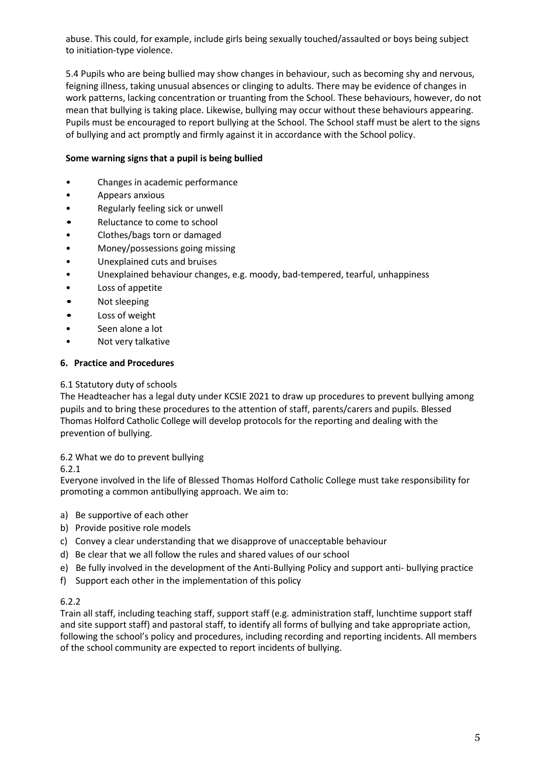abuse. This could, for example, include girls being sexually touched/assaulted or boys being subject to initiation-type violence.

5.4 Pupils who are being bullied may show changes in behaviour, such as becoming shy and nervous, feigning illness, taking unusual absences or clinging to adults. There may be evidence of changes in work patterns, lacking concentration or truanting from the School. These behaviours, however, do not mean that bullying is taking place. Likewise, bullying may occur without these behaviours appearing. Pupils must be encouraged to report bullying at the School. The School staff must be alert to the signs of bullying and act promptly and firmly against it in accordance with the School policy.

#### **Some warning signs that a pupil is being bullied**

- Changes in academic performance
- Appears anxious
- Regularly feeling sick or unwell
- Reluctance to come to school
- Clothes/bags torn or damaged
- Money/possessions going missing
- Unexplained cuts and bruises
- Unexplained behaviour changes, e.g. moody, bad-tempered, tearful, unhappiness
- Loss of appetite
- Not sleeping
- Loss of weight
- Seen alone a lot
- Not very talkative

#### **6. Practice and Procedures**

#### 6.1 Statutory duty of schools

The Headteacher has a legal duty under KCSIE 2021 to draw up procedures to prevent bullying among pupils and to bring these procedures to the attention of staff, parents/carers and pupils. Blessed Thomas Holford Catholic College will develop protocols for the reporting and dealing with the prevention of bullying.

#### 6.2 What we do to prevent bullying

#### 6.2.1

Everyone involved in the life of Blessed Thomas Holford Catholic College must take responsibility for promoting a common antibullying approach. We aim to:

- a) Be supportive of each other
- b) Provide positive role models
- c) Convey a clear understanding that we disapprove of unacceptable behaviour
- d) Be clear that we all follow the rules and shared values of our school
- e) Be fully involved in the development of the Anti-Bullying Policy and support anti- bullying practice
- f) Support each other in the implementation of this policy

#### 6.2.2

Train all staff, including teaching staff, support staff (e.g. administration staff, lunchtime support staff and site support staff) and pastoral staff, to identify all forms of bullying and take appropriate action, following the school's policy and procedures, including recording and reporting incidents. All members of the school community are expected to report incidents of bullying.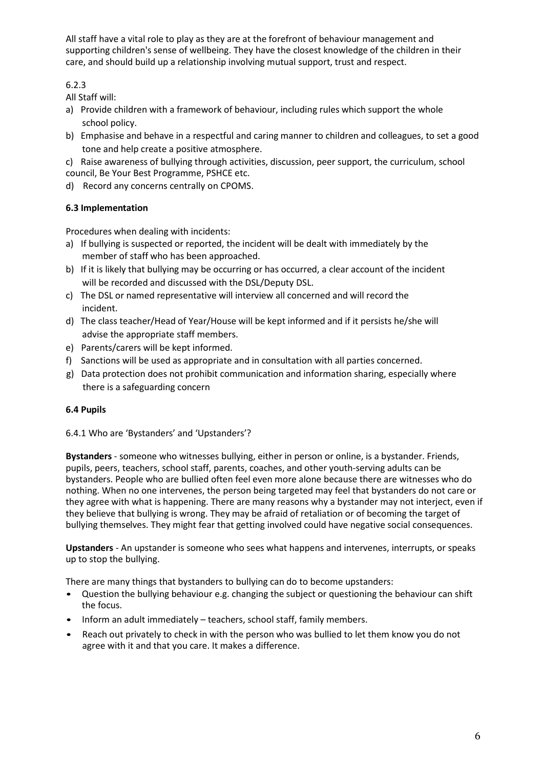All staff have a vital role to play as they are at the forefront of behaviour management and supporting children's sense of wellbeing. They have the closest knowledge of the children in their care, and should build up a relationship involving mutual support, trust and respect.

## 6.2.3

All Staff will:

- a) Provide children with a framework of behaviour, including rules which support the whole school policy.
- b) Emphasise and behave in a respectful and caring manner to children and colleagues, to set a good tone and help create a positive atmosphere.
- c) Raise awareness of bullying through activities, discussion, peer support, the curriculum, school council, Be Your Best Programme, PSHCE etc.
- d) Record any concerns centrally on CPOMS.

## **6.3 Implementation**

Procedures when dealing with incidents:

- a) If bullying is suspected or reported, the incident will be dealt with immediately by the member of staff who has been approached.
- b) If it is likely that bullying may be occurring or has occurred, a clear account of the incident will be recorded and discussed with the DSL/Deputy DSL.
- c) The DSL or named representative will interview all concerned and will record the incident.
- d) The class teacher/Head of Year/House will be kept informed and if it persists he/she will advise the appropriate staff members.
- e) Parents/carers will be kept informed.
- f) Sanctions will be used as appropriate and in consultation with all parties concerned.
- g) Data protection does not prohibit communication and information sharing, especially where there is a safeguarding concern

## **6.4 Pupils**

6.4.1 Who are 'Bystanders' and 'Upstanders'?

**Bystanders** - someone who witnesses bullying, either in person or online, is a bystander. Friends, pupils, peers, teachers, school staff, parents, coaches, and other youth-serving adults can be bystanders. People who are bullied often feel even more alone because there are witnesses who do nothing. When no one intervenes, the person being targeted may feel that bystanders do not care or they agree with what is happening. There are many reasons why a bystander may not interject, even if they believe that bullying is wrong. They may be afraid of retaliation or of becoming the target of bullying themselves. They might fear that getting involved could have negative social consequences.

**Upstanders** - An upstander is someone who sees what happens and intervenes, interrupts, or speaks up to stop the bullying.

There are many things that bystanders to bullying can do to become upstanders:

- Question the bullying behaviour e.g. changing the subject or questioning the behaviour can shift the focus.
- Inform an adult immediately teachers, school staff, family members.
- Reach out privately to check in with the person who was bullied to let them know you do not agree with it and that you care. It makes a difference.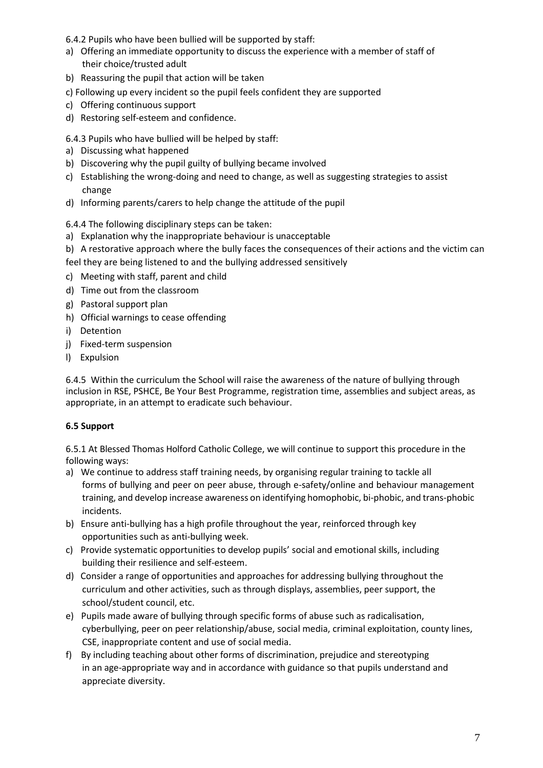6.4.2 Pupils who have been bullied will be supported by staff:

- a) Offering an immediate opportunity to discuss the experience with a member of staff of their choice/trusted adult
- b) Reassuring the pupil that action will be taken
- c) Following up every incident so the pupil feels confident they are supported
- c) Offering continuous support
- d) Restoring self-esteem and confidence.

6.4.3 Pupils who have bullied will be helped by staff:

- a) Discussing what happened
- b) Discovering why the pupil guilty of bullying became involved
- c) Establishing the wrong-doing and need to change, as well as suggesting strategies to assist change
- d) Informing parents/carers to help change the attitude of the pupil

6.4.4 The following disciplinary steps can be taken:

- a) Explanation why the inappropriate behaviour is unacceptable
- b) A restorative approach where the bully faces the consequences of their actions and the victim can
- feel they are being listened to and the bullying addressed sensitively
- c) Meeting with staff, parent and child
- d) Time out from the classroom
- g) Pastoral support plan
- h) Official warnings to cease offending
- i) Detention
- j) Fixed-term suspension
- l) Expulsion

6.4.5 Within the curriculum the School will raise the awareness of the nature of bullying through inclusion in RSE, PSHCE, Be Your Best Programme, registration time, assemblies and subject areas, as appropriate, in an attempt to eradicate such behaviour.

## **6.5 Support**

6.5.1 At Blessed Thomas Holford Catholic College, we will continue to support this procedure in the following ways:

- a) We continue to address staff training needs, by organising regular training to tackle all forms of bullying and peer on peer abuse, through e-safety/online and behaviour management training, and develop increase awareness on identifying homophobic, bi-phobic, and trans-phobic incidents.
- b) Ensure anti-bullying has a high profile throughout the year, reinforced through key opportunities such as anti-bullying week.
- c) Provide systematic opportunities to develop pupils' social and emotional skills, including building their resilience and self-esteem.
- d) Consider a range of opportunities and approaches for addressing bullying throughout the curriculum and other activities, such as through displays, assemblies, peer support, the school/student council, etc.
- e) Pupils made aware of bullying through specific forms of abuse such as radicalisation, cyberbullying, peer on peer relationship/abuse, social media, criminal exploitation, county lines, CSE, inappropriate content and use of social media.
- f) By including teaching about other forms of discrimination, prejudice and stereotyping in an age-appropriate way and in accordance with guidance so that pupils understand and appreciate diversity.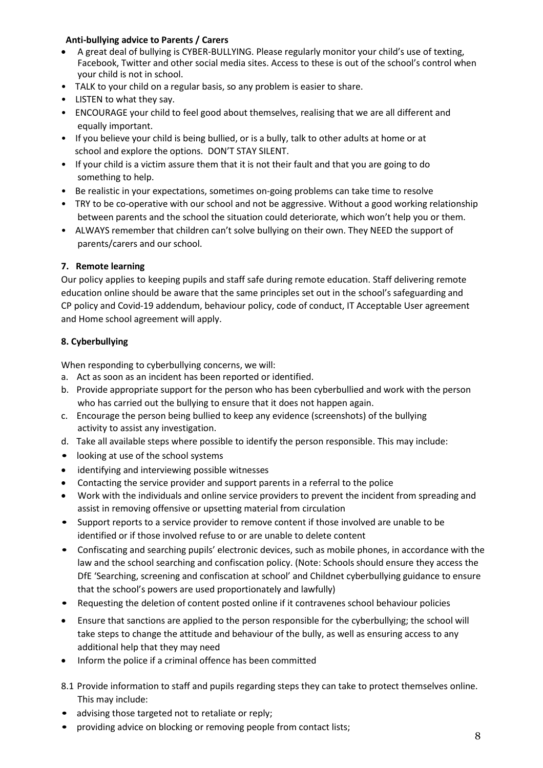#### **Anti-bullying advice to Parents / Carers**

- A great deal of bullying is CYBER-BULLYING. Please regularly monitor your child's use of texting, Facebook, Twitter and other social media sites. Access to these is out of the school's control when your child is not in school.
- TALK to your child on a regular basis, so any problem is easier to share.
- LISTEN to what they say.
- ENCOURAGE your child to feel good about themselves, realising that we are all different and equally important.
- If you believe your child is being bullied, or is a bully, talk to other adults at home or at school and explore the options. DON'T STAY SILENT.
- If your child is a victim assure them that it is not their fault and that you are going to do something to help.
- Be realistic in your expectations, sometimes on-going problems can take time to resolve
- TRY to be co-operative with our school and not be aggressive. Without a good working relationship between parents and the school the situation could deteriorate, which won't help you or them.
- ALWAYS remember that children can't solve bullying on their own. They NEED the support of parents/carers and our school.

## **7. Remote learning**

Our policy applies to keeping pupils and staff safe during remote education. Staff delivering remote education online should be aware that the same principles set out in the school's safeguarding and CP policy and Covid-19 addendum, behaviour policy, code of conduct, IT Acceptable User agreement and Home school agreement will apply.

## **8. Cyberbullying**

When responding to cyberbullying concerns, we will:

- a. Act as soon as an incident has been reported or identified.
- b. Provide appropriate support for the person who has been cyberbullied and work with the person who has carried out the bullying to ensure that it does not happen again.
- c. Encourage the person being bullied to keep any evidence (screenshots) of the bullying activity to assist any investigation.
- d. Take all available steps where possible to identify the person responsible. This may include:
- looking at use of the school systems
- identifying and interviewing possible witnesses
- Contacting the service provider and support parents in a referral to the police
- Work with the individuals and online service providers to prevent the incident from spreading and assist in removing offensive or upsetting material from circulation
- Support reports to a service provider to remove content if those involved are unable to be identified or if those involved refuse to or are unable to delete content
- Confiscating and searching pupils' electronic devices, such as mobile phones, in accordance with the law and the school searching and confiscation policy. (Note: Schools should ensure they access the DfE 'Searching, screening and confiscation at school' and Childnet cyberbullying guidance to ensure that the school's powers are used proportionately and lawfully)
- Requesting the deletion of content posted online if it contravenes school behaviour policies
- Ensure that sanctions are applied to the person responsible for the cyberbullying; the school will take steps to change the attitude and behaviour of the bully, as well as ensuring access to any additional help that they may need
- Inform the police if a criminal offence has been committed
- 8.1 Provide information to staff and pupils regarding steps they can take to protect themselves online. This may include:
- advising those targeted not to retaliate or reply;
- providing advice on blocking or removing people from contact lists;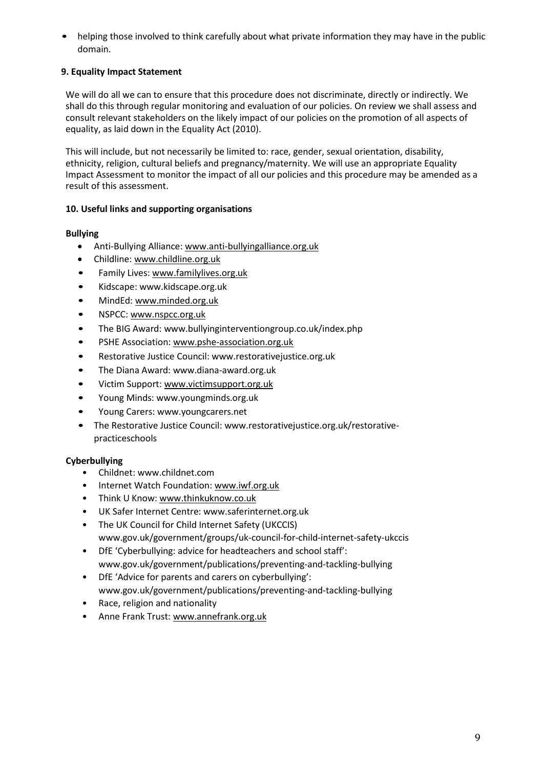• helping those involved to think carefully about what private information they may have in the public domain.

## **9. Equality Impact Statement**

We will do all we can to ensure that this procedure does not discriminate, directly or indirectly. We shall do this through regular monitoring and evaluation of our policies. On review we shall assess and consult relevant stakeholders on the likely impact of our policies on the promotion of all aspects of equality, as laid down in the Equality Act (2010).

This will include, but not necessarily be limited to: race, gender, sexual orientation, disability, ethnicity, religion, cultural beliefs and pregnancy/maternity. We will use an appropriate Equality Impact Assessment to monitor the impact of all our policies and this procedure may be amended as a result of this assessment.

## **10. Useful links and supporting organisations**

## **Bullying**

- Anti-Bullying Alliance[: www.anti-bullyingalliance.org.uk](http://www.anti-bullyingalliance.org.uk/)
- Childline: [www.childline.org.uk](http://www.childline.org.uk/)
- Family Lives[: www.familylives.org.uk](http://www.familylives.org.uk/)
- Kidscap[e: www.kidscape.org.uk](http://www.kidscape.org.uk/)
- MindEd: [www.minded.org.uk](http://www.minded.org.uk/)
- NSPCC: [www.nspcc.org.uk](http://www.nspcc.org.uk/)
- The BIG Awa[rd: www.bullyinginterventiongroup.co.uk/index.php](http://www.bullyinginterventiongroup.co.uk/index.php)
- PSHE Association: [www.pshe-association.org.uk](http://www.pshe-association.org.uk/)
- Restorative Justice Counc[il: www.restorativejustice.org.uk](http://www.restorativejustice.org.uk/)
- The Diana Awa[rd: www.diana-award.org.uk](http://www.diana-award.org.uk/)
- Victim Support: [www.victimsupport.org.uk](http://www.victimsupport.org.uk/)
- Young Mind[s: www.youngminds.org.uk](http://www.youngminds.org.uk/)
- Young Carer[s: www.youngcarers.net](http://www.youngcarers.net/)
- The Restorative Justice Council: [www.restorativejustice.org.uk/restorative](http://www.restorativejustice.org.uk/restorative-)practiceschools

#### **Cyberbullying**

- Childnet: [www.childnet.com](http://www.childnet.com/)
- Internet Watch Foundation: [www.iwf.org.uk](http://www.iwf.org.uk/)
- Think U Know: [www.thinkuknow.co.uk](http://www.thinkuknow.co.uk/)
- UK Safer Internet Centr[e: www.saferinternet.org.uk](http://www.saferinternet.org.uk/)
- The UK Council for Child Internet Safety (UKCCIS) [www.gov.uk/government/groups/uk-council-for-child-internet-safety-ukccis](http://www.gov.uk/government/groups/uk-council-for-child-internet-safety-ukccis)
- DfE 'Cyberbullying: advice for headteachers and school staff': [www.gov.uk/government/publications/preventing-and-tackling-bullying](http://www.gov.uk/government/publications/preventing-and-tackling-bullying)
- DfE 'Advice for parents and carers on cyberbullying': [www.gov.uk/government/publications/preventing-and-tackling-bullying](http://www.gov.uk/government/publications/preventing-and-tackling-bullying)
- Race, religion and nationality
- Anne Frank Trust[: www.annefrank.org.uk](http://www.annefrank.org.uk/)